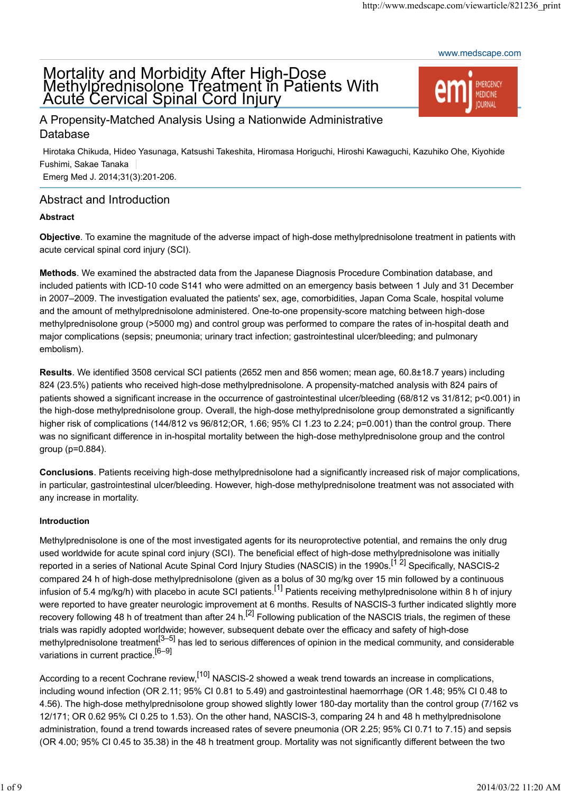www.medscape.com

# Mortality and Morbidity After High-Dose Methylprednisolone Treatment in Patients With Acute Cervical Spinal Cord Injury



# A Propensity-Matched Analysis Using a Nationwide Administrative Database

Hirotaka Chikuda, Hideo Yasunaga, Katsushi Takeshita, Hiromasa Horiguchi, Hiroshi Kawaguchi, Kazuhiko Ohe, Kiyohide Fushimi, Sakae Tanaka

Emerg Med J. 2014;31(3):201-206.

## Abstract and Introduction

## Abstract

Objective. To examine the magnitude of the adverse impact of high-dose methylprednisolone treatment in patients with acute cervical spinal cord injury (SCI).

Methods. We examined the abstracted data from the Japanese Diagnosis Procedure Combination database, and included patients with ICD-10 code S141 who were admitted on an emergency basis between 1 July and 31 December in 2007–2009. The investigation evaluated the patients' sex, age, comorbidities, Japan Coma Scale, hospital volume and the amount of methylprednisolone administered. One-to-one propensity-score matching between high-dose methylprednisolone group (>5000 mg) and control group was performed to compare the rates of in-hospital death and major complications (sepsis; pneumonia; urinary tract infection; gastrointestinal ulcer/bleeding; and pulmonary embolism).

Results. We identified 3508 cervical SCI patients (2652 men and 856 women; mean age, 60.8±18.7 years) including 824 (23.5%) patients who received high-dose methylprednisolone. A propensity-matched analysis with 824 pairs of patients showed a significant increase in the occurrence of gastrointestinal ulcer/bleeding (68/812 vs 31/812; p<0.001) in the high-dose methylprednisolone group. Overall, the high-dose methylprednisolone group demonstrated a significantly higher risk of complications (144/812 vs 96/812; OR, 1.66; 95% CI 1.23 to 2.24; p=0.001) than the control group. There was no significant difference in in-hospital mortality between the high-dose methylprednisolone group and the control aroup ( $p=0.884$ ).

Conclusions. Patients receiving high-dose methylprednisolone had a significantly increased risk of major complications, in particular, gastrointestinal ulcer/bleeding. However, high-dose methylprednisolone treatment was not associated with any increase in mortality.

## Introduction

Methylprednisolone is one of the most investigated agents for its neuroprotective potential, and remains the only drug used worldwide for acute spinal cord injury (SCI). The beneficial effect of high-dose methylprednisolone was initially reported in a series of National Acute Spinal Cord Injury Studies (NASCIS) in the 1990s.<sup>[1 2]</sup> Specifically, NASCIS-2 compared 24 h of high-dose methylprednisolone (given as a bolus of 30 mg/kg over 15 min followed by a continuous infusion of 5.4 mg/kg/h) with placebo in acute SCI patients.<sup>[1]</sup> Patients receiving methylprednisolone within 8 h of injury were reported to have greater neurologic improvement at 6 months. Results of NASCIS-3 further indicated slightly more recovery following 48 h of treatment than after 24 h.<sup>[2]</sup> Following publication of the NASCIS trials, the regimen of these trials was rapidly adopted worldwide; however, subsequent debate over the efficacy and safety of high-dose methylprednisolone treatment<sup>[3–5]</sup> has led to serious differences of opinion in the medical community, and considerable variations in current practice.<sup>[6–9]</sup>

According to a recent Cochrane review.<sup>[10]</sup> NASCIS-2 showed a weak trend towards an increase in complications, including wound infection (OR 2.11; 95% CI 0.81 to 5.49) and gastrointestinal haemorrhage (OR 1.48; 95% CI 0.48 to 4.56). The high-dose methylprednisolone group showed slightly lower 180-day mortality than the control group (7/162 vs 12/171; OR 0.62 95% CI 0.25 to 1.53). On the other hand, NASCIS-3, comparing 24 h and 48 h methylprednisolone administration, found a trend towards increased rates of severe pneumonia (OR 2.25; 95% CI 0.71 to 7.15) and sepsis (OR 4.00; 95% CI 0.45 to 35.38) in the 48 h treatment group. Mortality was not significantly different between the two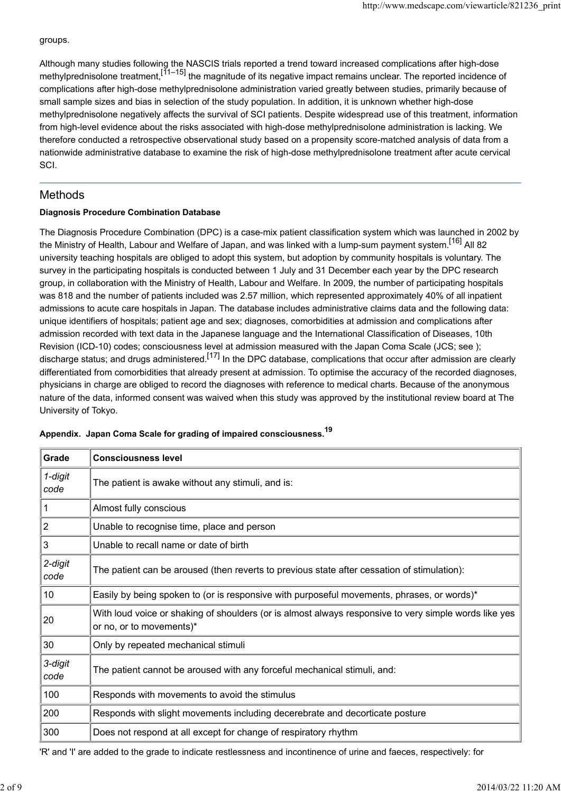#### groups.

Although many studies following the NASCIS trials reported a trend toward increased complications after high-dose methylorednisolone treatment.<sup>[11–15]</sup> the magnitude of its negative impact remains unclear. The reported incidence of complications after high-dose methylprednisolone administration varied greatly between studies, primarily because of small sample sizes and bias in selection of the study population. In addition, it is unknown whether high-dose methylprednisolone negatively affects the survival of SCI patients. Despite widespread use of this treatment, information from high-level evidence about the risks associated with high-dose methylprednisolone administration is lacking. We therefore conducted a retrospective observational study based on a propensity score-matched analysis of data from a nationwide administrative database to examine the risk of high-dose methylprednisolone treatment after acute cervical SCI.

### Methods

#### Diagnosis Procedure Combination Database

The Diagnosis Procedure Combination (DPC) is a case-mix patient classification system which was launched in 2002 by the Ministry of Health, Labour and Welfare of Japan, and was linked with a lump-sum payment system.<sup>[16]</sup> All 82 university teaching hospitals are obliged to adopt this system, but adoption by community hospitals is voluntary. The survey in the participating hospitals is conducted between 1 July and 31 December each year by the DPC research group, in collaboration with the Ministry of Health, Labour and Welfare. In 2009, the number of participating hospitals was 818 and the number of patients included was 2.57 million, which represented approximately 40% of all inpatient admissions to acute care hospitals in Japan. The database includes administrative claims data and the following data: unique identifiers of hospitals; patient age and sex; diagnoses, comorbidities at admission and complications after admission recorded with text data in the Japanese language and the International Classification of Diseases, 10th Revision (ICD-10) codes; consciousness level at admission measured with the Japan Coma Scale (JCS; see ); discharge status; and drugs administered.<sup>[17]</sup> In the DPC database, complications that occur after admission are clearly differentiated from comorbidities that already present at admission. To optimise the accuracy of the recorded diagnoses, physicians in charge are obliged to record the diagnoses with reference to medical charts. Because of the anonymous nature of the data, informed consent was waived when this study was approved by the institutional review board at The University of Tokyo.

| Grade           | <b>Consciousness level</b>                                                                                                        |
|-----------------|-----------------------------------------------------------------------------------------------------------------------------------|
| 1-digit<br>code | The patient is awake without any stimuli, and is:                                                                                 |
| 1               | Almost fully conscious                                                                                                            |
| $\overline{2}$  | Unable to recognise time, place and person                                                                                        |
| 3               | Unable to recall name or date of birth                                                                                            |
| 2-digit<br>code | The patient can be aroused (then reverts to previous state after cessation of stimulation):                                       |
| 10              | Easily by being spoken to (or is responsive with purposeful movements, phrases, or words)*                                        |
| 20              | With loud voice or shaking of shoulders (or is almost always responsive to very simple words like yes<br>or no, or to movements)* |
| 30              | Only by repeated mechanical stimuli                                                                                               |
| 3-digit<br>code | The patient cannot be aroused with any forceful mechanical stimuli, and:                                                          |
| 100             | Responds with movements to avoid the stimulus                                                                                     |
| 200             | Responds with slight movements including decerebrate and decorticate posture                                                      |
| 300             | Does not respond at all except for change of respiratory rhythm                                                                   |

Appendix. Japan Coma Scale for grading of impaired consciousness.<sup>19</sup>

'R' and 'I' are added to the grade to indicate restlessness and incontinence of urine and faeces, respectively: for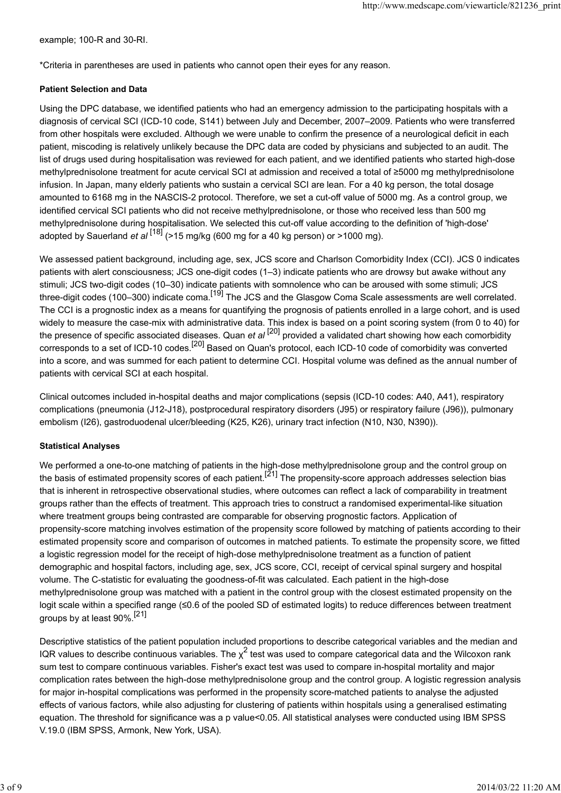example; 100-R and 30-RI.

\*Criteria in parentheses are used in patients who cannot open their eyes for any reason.

#### Patient Selection and Data

Using the DPC database, we identified patients who had an emergency admission to the participating hospitals with a diagnosis of cervical SCI (ICD-10 code, S141) between July and December, 2007–2009. Patients who were transferred from other hospitals were excluded. Although we were unable to confirm the presence of a neurological deficit in each patient, miscoding is relatively unlikely because the DPC data are coded by physicians and subjected to an audit. The list of drugs used during hospitalisation was reviewed for each patient, and we identified patients who started high-dose methylprednisolone treatment for acute cervical SCI at admission and received a total of ≥5000 mg methylprednisolone infusion. In Japan, many elderly patients who sustain a cervical SCI are lean. For a 40 kg person, the total dosage amounted to 6168 mg in the NASCIS-2 protocol. Therefore, we set a cut-off value of 5000 mg. As a control group, we identified cervical SCI patients who did not receive methylprednisolone, or those who received less than 500 mg methylprednisolone during hospitalisation. We selected this cut-off value according to the definition of 'high-dose' adopted by Sauerland *et al* [18] (>15 mg/kg (600 mg for a 40 kg person) or >1000 mg).

We assessed patient background, including age, sex, JCS score and Charlson Comorbidity Index (CCI). JCS 0 indicates patients with alert consciousness; JCS one-digit codes (1–3) indicate patients who are drowsy but awake without any stimuli; JCS two-digit codes (10–30) indicate patients with somnolence who can be aroused with some stimuli; JCS three-digit codes (100–300) indicate coma.[19] The JCS and the Glasgow Coma Scale assessments are well correlated. The CCI is a prognostic index as a means for quantifying the prognosis of patients enrolled in a large cohort, and is used widely to measure the case-mix with administrative data. This index is based on a point scoring system (from 0 to 40) for the presence of specific associated diseases. Quan *et al* [20] provided a validated chart showing how each comorbidity corresponds to a set of ICD-10 codes.[20] Based on Quan's protocol, each ICD-10 code of comorbidity was converted into a score, and was summed for each patient to determine CCI. Hospital volume was defined as the annual number of patients with cervical SCI at each hospital.

Clinical outcomes included in-hospital deaths and major complications (sepsis (ICD-10 codes: A40, A41), respiratory complications (pneumonia (J12-J18), postprocedural respiratory disorders (J95) or respiratory failure (J96)), pulmonary embolism (I26), gastroduodenal ulcer/bleeding (K25, K26), urinary tract infection (N10, N30, N390)).

#### Statistical Analyses

We performed a one-to-one matching of patients in the high-dose methylprednisolone group and the control group on the basis of estimated propensity scores of each patient.<sup>[21]</sup> The propensity-score approach addresses selection bias that is inherent in retrospective observational studies, where outcomes can reflect a lack of comparability in treatment groups rather than the effects of treatment. This approach tries to construct a randomised experimental-like situation where treatment groups being contrasted are comparable for observing prognostic factors. Application of propensity-score matching involves estimation of the propensity score followed by matching of patients according to their estimated propensity score and comparison of outcomes in matched patients. To estimate the propensity score, we fitted a logistic regression model for the receipt of high-dose methylprednisolone treatment as a function of patient demographic and hospital factors, including age, sex, JCS score, CCI, receipt of cervical spinal surgery and hospital volume. The C-statistic for evaluating the goodness-of-fit was calculated. Each patient in the high-dose methylprednisolone group was matched with a patient in the control group with the closest estimated propensity on the logit scale within a specified range (≤0.6 of the pooled SD of estimated logits) to reduce differences between treatment groups by at least 90%.<sup>[21]</sup>

Descriptive statistics of the patient population included proportions to describe categorical variables and the median and IQR values to describe continuous variables. The  $\chi^2$  test was used to compare categorical data and the Wilcoxon rank sum test to compare continuous variables. Fisher's exact test was used to compare in-hospital mortality and major complication rates between the high-dose methylprednisolone group and the control group. A logistic regression analysis for major in-hospital complications was performed in the propensity score-matched patients to analyse the adjusted effects of various factors, while also adjusting for clustering of patients within hospitals using a generalised estimating equation. The threshold for significance was a p value<0.05. All statistical analyses were conducted using IBM SPSS V.19.0 (IBM SPSS, Armonk, New York, USA).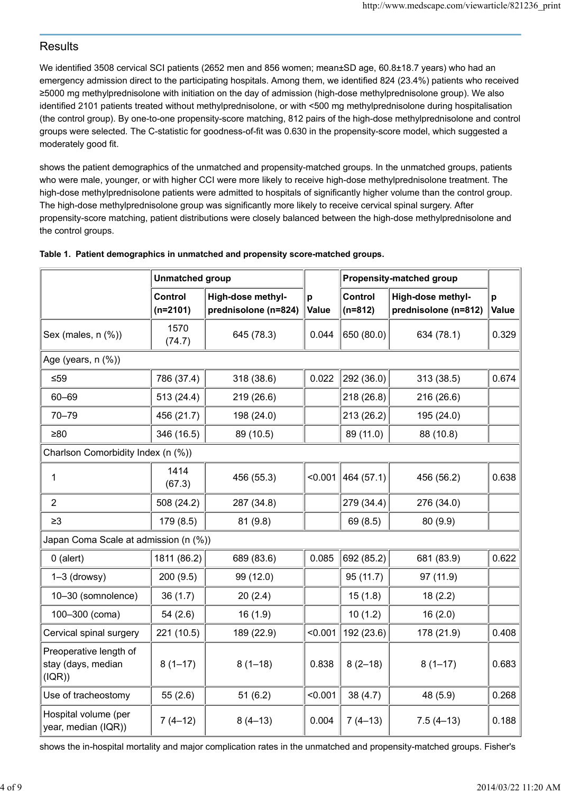## **Results**

We identified 3508 cervical SCI patients (2652 men and 856 women; mean±SD age, 60.8±18.7 years) who had an emergency admission direct to the participating hospitals. Among them, we identified 824 (23.4%) patients who received ≥5000 mg methylprednisolone with initiation on the day of admission (high-dose methylprednisolone group). We also identified 2101 patients treated without methylprednisolone, or with <500 mg methylprednisolone during hospitalisation (the control group). By one-to-one propensity-score matching, 812 pairs of the high-dose methylprednisolone and control groups were selected. The C-statistic for goodness-of-fit was 0.630 in the propensity-score model, which suggested a moderately good fit.

shows the patient demographics of the unmatched and propensity-matched groups. In the unmatched groups, patients who were male, younger, or with higher CCI were more likely to receive high-dose methylprednisolone treatment. The high-dose methylprednisolone patients were admitted to hospitals of significantly higher volume than the control group. The high-dose methylprednisolone group was significantly more likely to receive cervical spinal surgery. After propensity-score matching, patient distributions were closely balanced between the high-dose methylprednisolone and the control groups.

|                                                        | <b>Unmatched group</b>       |                                           |                   | <b>Propensity-matched group</b> |                                           |                   |
|--------------------------------------------------------|------------------------------|-------------------------------------------|-------------------|---------------------------------|-------------------------------------------|-------------------|
|                                                        | <b>Control</b><br>$(n=2101)$ | High-dose methyl-<br>prednisolone (n=824) | р<br><b>Value</b> | Control<br>$(n=812)$            | High-dose methyl-<br>prednisolone (n=812) | p<br><b>Value</b> |
| Sex (males, $n$ $(\%)$ )                               | 1570<br>(74.7)               | 645 (78.3)                                | 0.044             | 650 $(80.0)$                    | 634 (78.1)                                | 0.329             |
| Age (years, $n$ $(\%)$ )                               |                              |                                           |                   |                                 |                                           |                   |
| $≤59$                                                  | 786 (37.4)                   | 318 (38.6)                                | 0.022             | 292 (36.0)                      | 313 (38.5)                                | 0.674             |
| $60 - 69$                                              | 513(24.4)                    | 219 (26.6)                                |                   | 218 (26.8)                      | 216 (26.6)                                |                   |
| $70 - 79$                                              | 456 (21.7)                   | 198 (24.0)                                |                   | 213 (26.2)                      | 195 (24.0)                                |                   |
| $\geq 80$                                              | 346 (16.5)                   | 89 (10.5)                                 |                   | 89 (11.0)                       | 88 (10.8)                                 |                   |
| Charlson Comorbidity Index (n (%))                     |                              |                                           |                   |                                 |                                           |                   |
| 1                                                      | 1414<br>(67.3)               | 456 (55.3)                                | < 0.001           | 464 (57.1)                      | 456 (56.2)                                | 0.638             |
| $\overline{2}$                                         | 508 (24.2)                   | 287 (34.8)                                |                   | 279 (34.4)                      | 276 (34.0)                                |                   |
| ≥3                                                     | 179 (8.5)                    | 81(9.8)                                   |                   | 69 (8.5)                        | 80 (9.9)                                  |                   |
| Japan Coma Scale at admission (n (%))                  |                              |                                           |                   |                                 |                                           |                   |
| $0$ (alert)                                            | 1811 (86.2)                  | 689 (83.6)                                | 0.085             | 692 (85.2)                      | 681 (83.9)                                | 0.622             |
| $1-3$ (drowsy)                                         | 200 (9.5)                    | 99 (12.0)                                 |                   | 95 (11.7)                       | 97 (11.9)                                 |                   |
| 10-30 (somnolence)                                     | 36(1.7)                      | 20(2.4)                                   |                   | 15(1.8)                         | 18(2.2)                                   |                   |
| 100-300 (coma)                                         | 54(2.6)                      | 16(1.9)                                   |                   | 10(1.2)                         | 16(2.0)                                   |                   |
| Cervical spinal surgery                                | 221 (10.5)                   | 189 (22.9)                                | < 0.001           | 192 (23.6)                      | 178 (21.9)                                | 0.408             |
| Preoperative length of<br>stay (days, median<br>(IQR)) | $8(1-17)$                    | $8(1-18)$                                 | 0.838             | $8(2-18)$                       | $8(1-17)$                                 | 0.683             |
| Use of tracheostomy                                    | 55(2.6)                      | 51(6.2)                                   | < 0.001           | 38(4.7)                         | 48 (5.9)                                  | 0.268             |
| Hospital volume (per<br>year, median (IQR))            | $7(4-12)$                    | $8(4-13)$                                 | 0.004             | $7(4-13)$                       | $7.5(4-13)$                               | 0.188             |

### Table 1. Patient demographics in unmatched and propensity score-matched groups.

shows the in-hospital mortality and major complication rates in the unmatched and propensity-matched groups. Fisher's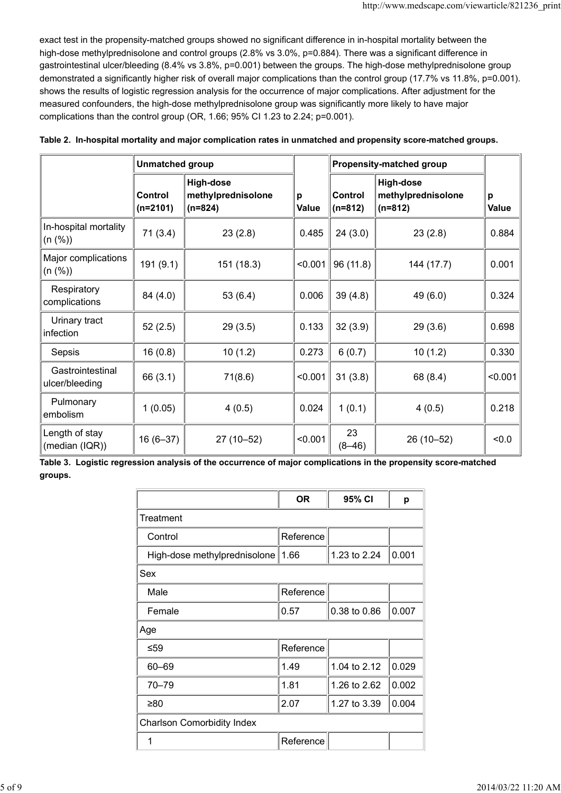exact test in the propensity-matched groups showed no significant difference in in-hospital mortality between the high-dose methylprednisolone and control groups (2.8% vs 3.0%, p=0.884). There was a significant difference in gastrointestinal ulcer/bleeding (8.4% vs 3.8%, p=0.001) between the groups. The high-dose methylprednisolone group demonstrated a significantly higher risk of overall major complications than the control group (17.7% vs 11.8%, p=0.001). shows the results of logistic regression analysis for the occurrence of major complications. After adjustment for the measured confounders, the high-dose methylprednisolone group was significantly more likely to have major complications than the control group (OR, 1.66; 95% CI 1.23 to 2.24; p=0.001).

|                                    | <b>Unmatched group</b> |                                              |            | Propensity-matched group    |                                              |            |
|------------------------------------|------------------------|----------------------------------------------|------------|-----------------------------|----------------------------------------------|------------|
|                                    | Control<br>$(n=2101)$  | High-dose<br>methylprednisolone<br>$(n=824)$ | p<br>Value | <b>Control</b><br>$(n=812)$ | High-dose<br>methylprednisolone<br>$(n=812)$ | p<br>Value |
| In-hospital mortality<br>(n (%))   | 71(3.4)                | 23(2.8)                                      | 0.485      | 24(3.0)                     | 23(2.8)                                      | 0.884      |
| Major complications<br>(n (%))     | 191 (9.1)              | 151 (18.3)                                   | < 0.001    | 96 (11.8)                   | 144 (17.7)                                   | 0.001      |
| Respiratory<br>complications       | 84 (4.0)               | 53(6.4)                                      | 0.006      | 39(4.8)                     | 49 (6.0)                                     | 0.324      |
| Urinary tract<br>infection         | 52(2.5)                | 29(3.5)                                      | 0.133      | 32(3.9)                     | 29(3.6)                                      | 0.698      |
| Sepsis                             | 16(0.8)                | 10(1.2)                                      | 0.273      | 6(0.7)                      | 10(1.2)                                      | 0.330      |
| Gastrointestinal<br>ulcer/bleeding | 66 (3.1)               | 71(8.6)                                      | < 0.001    | 31(3.8)                     | 68 (8.4)                                     | < 0.001    |
| Pulmonary<br>embolism              | 1(0.05)                | 4(0.5)                                       | 0.024      | 1(0.1)                      | 4(0.5)                                       | 0.218      |
| Length of stay<br>(median (IQR))   | 16 (6-37)              | 27 (10-52)                                   | < 0.001    | 23<br>$(8 - 46)$            | 26 (10-52)                                   | < 0.0      |

| Table 2. In-hospital mortality and major complication rates in unmatched and propensity score-matched groups. |  |  |  |
|---------------------------------------------------------------------------------------------------------------|--|--|--|
|                                                                                                               |  |  |  |

Table 3. Logistic regression analysis of the occurrence of major complications in the propensity score-matched groups.

|                                   | <b>OR</b> | 95% CI       | p     |
|-----------------------------------|-----------|--------------|-------|
| Treatment                         |           |              |       |
| Control                           | Reference |              |       |
| High-dose methylprednisolone      | 1.66      | 1.23 to 2.24 | 0.001 |
| Sex                               |           |              |       |
| Male                              | Reference |              |       |
| Female                            | 0.57      | 0.38 to 0.86 | 0.007 |
| Age                               |           |              |       |
| ≤59                               | Reference |              |       |
| 60-69                             | 1.49      | 1.04 to 2.12 | 0.029 |
| 70-79                             | 1.81      | 1.26 to 2.62 | 0.002 |
| ≥80                               | 2.07      | 1.27 to 3.39 | 0.004 |
| <b>Charlson Comorbidity Index</b> |           |              |       |
| 1                                 | Reference |              |       |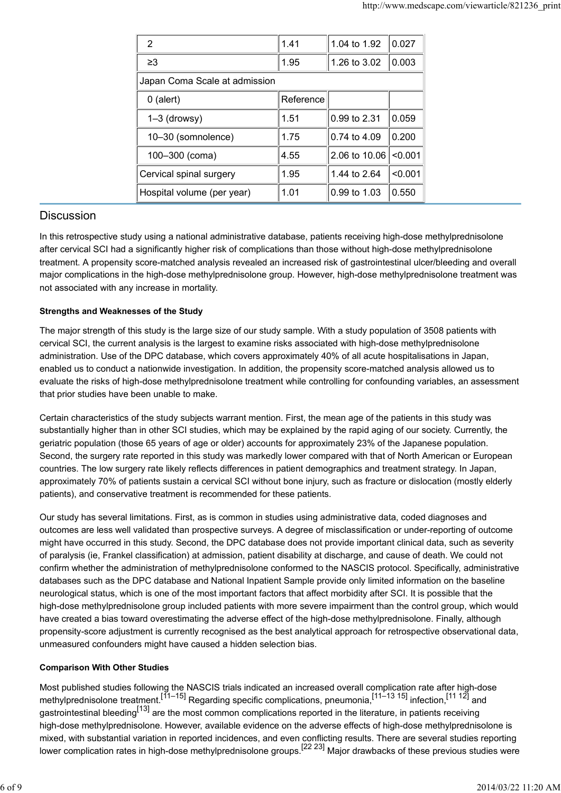| 2                             | 1.41      | 1.04 to 1.92  | 0.027   |  |  |  |  |
|-------------------------------|-----------|---------------|---------|--|--|--|--|
| $\geq 3$                      | 1.95      | 1.26 to 3.02  | 0.003   |  |  |  |  |
| Japan Coma Scale at admission |           |               |         |  |  |  |  |
| $0$ (alert)                   | Reference |               |         |  |  |  |  |
| $1-3$ (drowsy)                | 1.51      | 0.99 to 2.31  | 0.059   |  |  |  |  |
| 10-30 (somnolence)            | 1.75      | 0.74 to 4.09  | 0.200   |  |  |  |  |
| 100-300 (coma)                | 4.55      | 2.06 to 10.06 | < 0.001 |  |  |  |  |
| Cervical spinal surgery       | 1.95      | 1.44 to 2.64  | < 0.001 |  |  |  |  |
| Hospital volume (per year)    | 1.01      | 0.99 to 1.03  | 0.550   |  |  |  |  |

## **Discussion**

In this retrospective study using a national administrative database, patients receiving high-dose methylprednisolone after cervical SCI had a significantly higher risk of complications than those without high-dose methylprednisolone treatment. A propensity score-matched analysis revealed an increased risk of gastrointestinal ulcer/bleeding and overall major complications in the high-dose methylprednisolone group. However, high-dose methylprednisolone treatment was not associated with any increase in mortality.

### Strengths and Weaknesses of the Study

The major strength of this study is the large size of our study sample. With a study population of 3508 patients with cervical SCI, the current analysis is the largest to examine risks associated with high-dose methylprednisolone administration. Use of the DPC database, which covers approximately 40% of all acute hospitalisations in Japan, enabled us to conduct a nationwide investigation. In addition, the propensity score-matched analysis allowed us to evaluate the risks of high-dose methylprednisolone treatment while controlling for confounding variables, an assessment that prior studies have been unable to make.

Certain characteristics of the study subjects warrant mention. First, the mean age of the patients in this study was substantially higher than in other SCI studies, which may be explained by the rapid aging of our society. Currently, the geriatric population (those 65 years of age or older) accounts for approximately 23% of the Japanese population. Second, the surgery rate reported in this study was markedly lower compared with that of North American or European countries. The low surgery rate likely reflects differences in patient demographics and treatment strategy. In Japan, approximately 70% of patients sustain a cervical SCI without bone injury, such as fracture or dislocation (mostly elderly patients), and conservative treatment is recommended for these patients.

Our study has several limitations. First, as is common in studies using administrative data, coded diagnoses and outcomes are less well validated than prospective surveys. A degree of misclassification or under-reporting of outcome might have occurred in this study. Second, the DPC database does not provide important clinical data, such as severity of paralysis (ie, Frankel classification) at admission, patient disability at discharge, and cause of death. We could not confirm whether the administration of methylprednisolone conformed to the NASCIS protocol. Specifically, administrative databases such as the DPC database and National Inpatient Sample provide only limited information on the baseline neurological status, which is one of the most important factors that affect morbidity after SCI. It is possible that the high-dose methylprednisolone group included patients with more severe impairment than the control group, which would have created a bias toward overestimating the adverse effect of the high-dose methylprednisolone. Finally, although propensity-score adjustment is currently recognised as the best analytical approach for retrospective observational data, unmeasured confounders might have caused a hidden selection bias.

#### Comparison With Other Studies

Most published studies following the NASCIS trials indicated an increased overall complication rate after high-dose methylprednisolone treatment.<sup>[11–15]</sup> Regarding specific complications, pneumonia,<sup>[11–13 15]</sup> infection,<sup>[11-12]</sup> and gastrointestinal bleeding<sup>[13]</sup> are the most common complications reported in the literature, in patients receiving high-dose methylprednisolone. However, available evidence on the adverse effects of high-dose methylprednisolone is mixed, with substantial variation in reported incidences, and even conflicting results. There are several studies reporting lower complication rates in high-dose methylprednisolone groups.[22 23] Major drawbacks of these previous studies were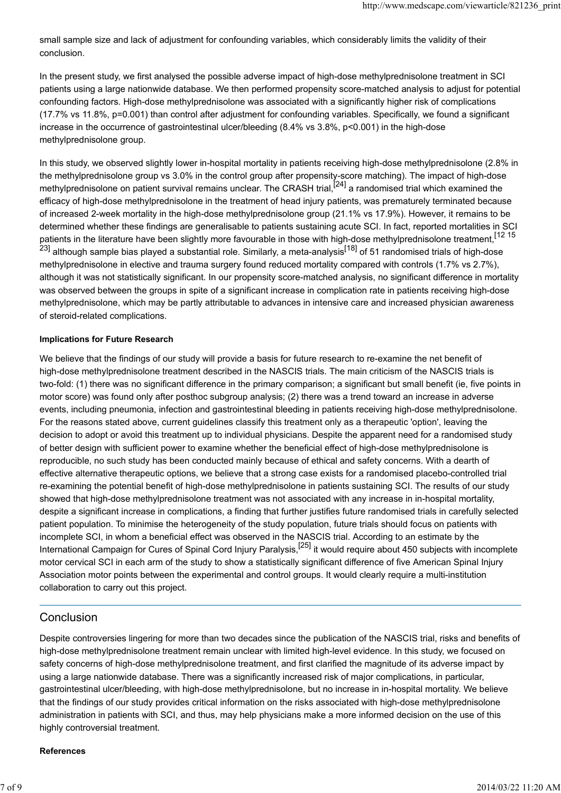small sample size and lack of adjustment for confounding variables, which considerably limits the validity of their conclusion.

In the present study, we first analysed the possible adverse impact of high-dose methylprednisolone treatment in SCI patients using a large nationwide database. We then performed propensity score-matched analysis to adjust for potential confounding factors. High-dose methylprednisolone was associated with a significantly higher risk of complications (17.7% vs 11.8%, p=0.001) than control after adjustment for confounding variables. Specifically, we found a significant increase in the occurrence of gastrointestinal ulcer/bleeding (8.4% vs 3.8%, p<0.001) in the high-dose methylprednisolone group.

In this study, we observed slightly lower in-hospital mortality in patients receiving high-dose methylprednisolone (2.8% in the methylprednisolone group vs 3.0% in the control group after propensity-score matching). The impact of high-dose methylprednisolone on patient survival remains unclear. The CRASH trial,<sup>[24]</sup> a randomised trial which examined the efficacy of high-dose methylprednisolone in the treatment of head injury patients, was prematurely terminated because of increased 2-week mortality in the high-dose methylprednisolone group (21.1% vs 17.9%). However, it remains to be determined whether these findings are generalisable to patients sustaining acute SCI. In fact, reported mortalities in SCI patients in the literature have been slightly more favourable in those with high-dose methylprednisolone treatment, [12 15 <sup>23]</sup> although sample bias played a substantial role. Similarly, a meta-analysis<sup>[18]</sup> of 51 randomised trials of high-dose methylprednisolone in elective and trauma surgery found reduced mortality compared with controls (1.7% vs 2.7%), although it was not statistically significant. In our propensity score-matched analysis, no significant difference in mortality was observed between the groups in spite of a significant increase in complication rate in patients receiving high-dose methylprednisolone, which may be partly attributable to advances in intensive care and increased physician awareness of steroid-related complications.

#### Implications for Future Research

We believe that the findings of our study will provide a basis for future research to re-examine the net benefit of high-dose methylprednisolone treatment described in the NASCIS trials. The main criticism of the NASCIS trials is two-fold: (1) there was no significant difference in the primary comparison; a significant but small benefit (ie, five points in motor score) was found only after posthoc subgroup analysis; (2) there was a trend toward an increase in adverse events, including pneumonia, infection and gastrointestinal bleeding in patients receiving high-dose methylprednisolone. For the reasons stated above, current guidelines classify this treatment only as a therapeutic 'option', leaving the decision to adopt or avoid this treatment up to individual physicians. Despite the apparent need for a randomised study of better design with sufficient power to examine whether the beneficial effect of high-dose methylprednisolone is reproducible, no such study has been conducted mainly because of ethical and safety concerns. With a dearth of effective alternative therapeutic options, we believe that a strong case exists for a randomised placebo-controlled trial re-examining the potential benefit of high-dose methylprednisolone in patients sustaining SCI. The results of our study showed that high-dose methylprednisolone treatment was not associated with any increase in in-hospital mortality, despite a significant increase in complications, a finding that further justifies future randomised trials in carefully selected patient population. To minimise the heterogeneity of the study population, future trials should focus on patients with incomplete SCI, in whom a beneficial effect was observed in the NASCIS trial. According to an estimate by the International Campaign for Cures of Spinal Cord Injury Paralysis,<sup>[25]</sup> it would require about 450 subjects with incomplete motor cervical SCI in each arm of the study to show a statistically significant difference of five American Spinal Injury Association motor points between the experimental and control groups. It would clearly require a multi-institution collaboration to carry out this project.

## **Conclusion**

Despite controversies lingering for more than two decades since the publication of the NASCIS trial, risks and benefits of high-dose methylprednisolone treatment remain unclear with limited high-level evidence. In this study, we focused on safety concerns of high-dose methylprednisolone treatment, and first clarified the magnitude of its adverse impact by using a large nationwide database. There was a significantly increased risk of major complications, in particular, gastrointestinal ulcer/bleeding, with high-dose methylprednisolone, but no increase in in-hospital mortality. We believe that the findings of our study provides critical information on the risks associated with high-dose methylprednisolone administration in patients with SCI, and thus, may help physicians make a more informed decision on the use of this highly controversial treatment.

#### References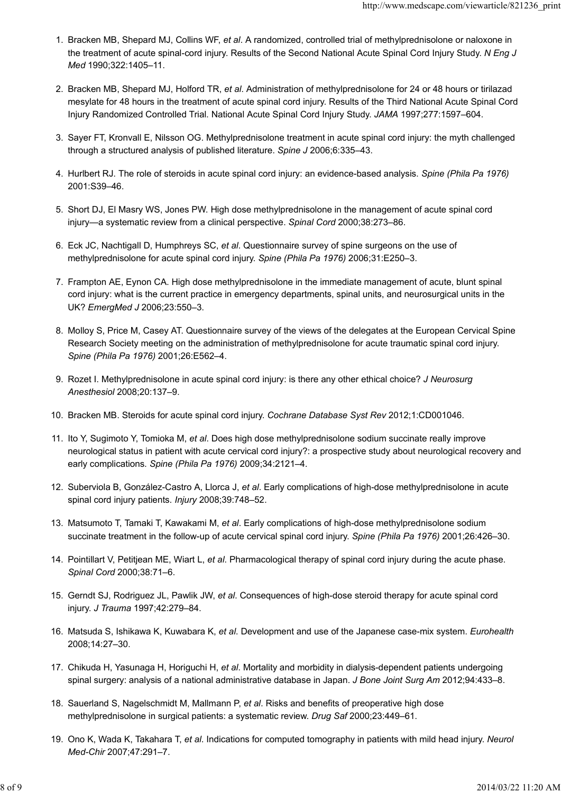- 1. Bracken MB, Shepard MJ, Collins WF, et al. A randomized, controlled trial of methylprednisolone or naloxone in the treatment of acute spinal-cord injury. Results of the Second National Acute Spinal Cord Injury Study. *N Eng J Med* 1990;322:1405–11.
- 2. Bracken MB, Shepard MJ, Holford TR, *et al*. Administration of methylprednisolone for 24 or 48 hours or tirilazad mesylate for 48 hours in the treatment of acute spinal cord injury. Results of the Third National Acute Spinal Cord Injury Randomized Controlled Trial. National Acute Spinal Cord Injury Study. *JAMA* 1997;277:1597–604.
- Sayer FT, Kronvall E, Nilsson OG. Methylprednisolone treatment in acute spinal cord injury: the myth challenged 3. through a structured analysis of published literature. *Spine J* 2006;6:335–43.
- 4. Hurlbert RJ. The role of steroids in acute spinal cord injury: an evidence-based analysis. Spine (Phila Pa 1976) 2001:S39–46.
- 5. Short DJ, El Masry WS, Jones PW. High dose methylprednisolone in the management of acute spinal cord injury—a systematic review from a clinical perspective. *Spinal Cord* 2000;38:273–86.
- Eck JC, Nachtigall D, Humphreys SC, *et al*. Questionnaire survey of spine surgeons on the use of 6. methylprednisolone for acute spinal cord injury. *Spine (Phila Pa 1976)* 2006;31:E250–3.
- Frampton AE, Eynon CA. High dose methylprednisolone in the immediate management of acute, blunt spinal 7. cord injury: what is the current practice in emergency departments, spinal units, and neurosurgical units in the UK? *EmergMed J* 2006;23:550–3.
- 8. Molloy S, Price M, Casey AT. Questionnaire survey of the views of the delegates at the European Cervical Spine Research Society meeting on the administration of methylprednisolone for acute traumatic spinal cord injury. *Spine (Phila Pa 1976)* 2001;26:E562–4.
- 9. Rozet I. Methylprednisolone in acute spinal cord injury: is there any other ethical choice? J Neurosurg *Anesthesiol* 2008;20:137–9.
- 10. Bracken MB. Steroids for acute spinal cord injury. *Cochrane Database Syst Rev* 2012;1:CD001046.
- 11. Ito Y, Sugimoto Y, Tomioka M, et al. Does high dose methylprednisolone sodium succinate really improve neurological status in patient with acute cervical cord injury?: a prospective study about neurological recovery and early complications. *Spine (Phila Pa 1976)* 2009;34:2121–4.
- 12. Suberviola B, González-Castro A, Llorca J, et al. Early complications of high-dose methylprednisolone in acute spinal cord injury patients. *Injury* 2008;39:748–52.
- 13. Matsumoto T, Tamaki T, Kawakami M, et al. Early complications of high-dose methylprednisolone sodium succinate treatment in the follow-up of acute cervical spinal cord injury. *Spine (Phila Pa 1976)* 2001;26:426–30.
- 14. Pointillart V, Petitjean ME, Wiart L, et al. Pharmacological therapy of spinal cord injury during the acute phase. *Spinal Cord* 2000;38:71–6.
- 15. Gerndt SJ, Rodriguez JL, Pawlik JW, et al. Consequences of high-dose steroid therapy for acute spinal cord injury. *J Trauma* 1997;42:279–84.
- 16. Matsuda S, Ishikawa K, Kuwabara K, e*t al*. Development and use of the Japanese case-mix system. *Eurohealth* 2008;14:27–30.
- 17. Chikuda H, Yasunaga H, Horiguchi H, *et al*. Mortality and morbidity in dialysis-dependent patients undergoing spinal surgery: analysis of a national administrative database in Japan. *J Bone Joint Surg Am* 2012;94:433–8.
- 18. Sauerland S, Nagelschmidt M, Mallmann P, et al. Risks and benefits of preoperative high dose methylprednisolone in surgical patients: a systematic review. *Drug Saf* 2000;23:449–61.
- 19. Ono K, Wada K, Takahara T, et al. Indications for computed tomography in patients with mild head injury. Neurol *Med-Chir* 2007;47:291–7.